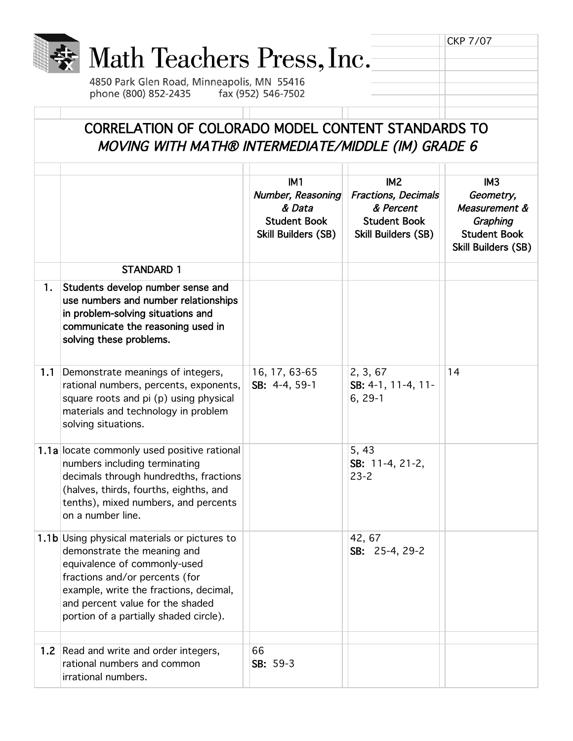|     | Math Teachers Press, Inc.<br>4850 Park Glen Road, Minneapolis, MN 55416<br>phone (800) 852-2435                                                                                                                                                                       | fax (952) 546-7502                                                                                  |                                                                                                                 | <b>CKP 7/07</b>                                                                                                |
|-----|-----------------------------------------------------------------------------------------------------------------------------------------------------------------------------------------------------------------------------------------------------------------------|-----------------------------------------------------------------------------------------------------|-----------------------------------------------------------------------------------------------------------------|----------------------------------------------------------------------------------------------------------------|
|     | CORRELATION OF COLORADO MODEL CONTENT STANDARDS TO<br>MOVING WITH MATH® INTERMEDIATE/MIDDLE (IM) GRADE 6                                                                                                                                                              |                                                                                                     |                                                                                                                 |                                                                                                                |
|     |                                                                                                                                                                                                                                                                       | IM <sub>1</sub><br>Number, Reasoning<br>& Data<br><b>Student Book</b><br><b>Skill Builders (SB)</b> | IM <sub>2</sub><br><b>Fractions, Decimals</b><br>& Percent<br><b>Student Book</b><br><b>Skill Builders (SB)</b> | IM <sub>3</sub><br>Geometry,<br>Measurement &<br>Graphing<br><b>Student Book</b><br><b>Skill Builders (SB)</b> |
|     | <b>STANDARD 1</b>                                                                                                                                                                                                                                                     |                                                                                                     |                                                                                                                 |                                                                                                                |
| 1.  | Students develop number sense and<br>use numbers and number relationships<br>in problem-solving situations and<br>communicate the reasoning used in<br>solving these problems.                                                                                        |                                                                                                     |                                                                                                                 |                                                                                                                |
| 1.1 | Demonstrate meanings of integers,<br>rational numbers, percents, exponents,<br>square roots and pi (p) using physical<br>materials and technology in problem<br>solving situations.                                                                                   | 16, 17, 63-65<br>SB: 4-4, 59-1                                                                      | 2, 3, 67<br>SB: 4-1, 11-4, 11-<br>$6, 29-1$                                                                     | 14                                                                                                             |
|     | 1.1a locate commonly used positive rational<br>numbers including terminating<br>decimals through hundredths, fractions<br>(halves, thirds, fourths, eighths, and<br>tenths), mixed numbers, and percents<br>on a number line.                                         |                                                                                                     | 5, 43<br>SB: 11-4, 21-2,<br>$23 - 2$                                                                            |                                                                                                                |
|     | 1.1b Using physical materials or pictures to<br>demonstrate the meaning and<br>equivalence of commonly-used<br>fractions and/or percents (for<br>example, write the fractions, decimal,<br>and percent value for the shaded<br>portion of a partially shaded circle). |                                                                                                     | 42, 67<br>SB: 25-4, 29-2                                                                                        |                                                                                                                |
|     | 1.2 Read and write and order integers,<br>rational numbers and common<br>irrational numbers.                                                                                                                                                                          | 66<br>SB: 59-3                                                                                      |                                                                                                                 |                                                                                                                |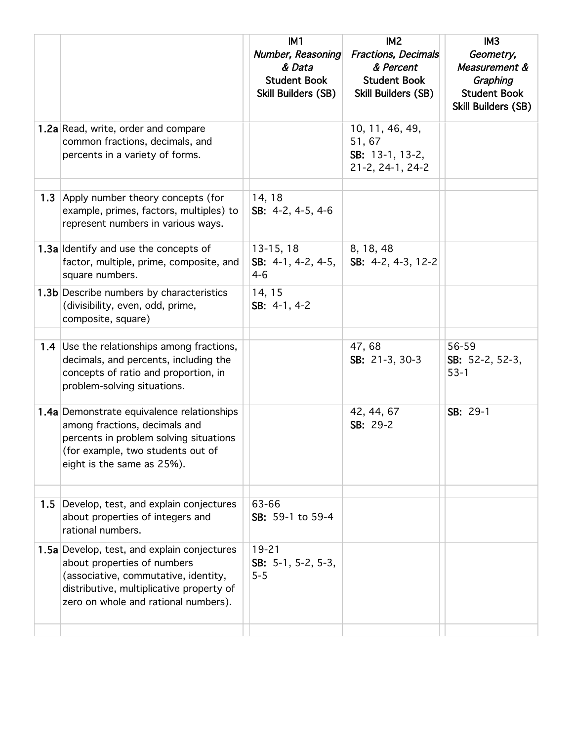|     |                                                                                                                                                                                                        | IM1<br>Number, Reasoning<br>& Data<br><b>Student Book</b><br>Skill Builders (SB) | IM <sub>2</sub><br><b>Fractions, Decimals</b><br>& Percent<br><b>Student Book</b><br><b>Skill Builders (SB)</b> | IM <sub>3</sub><br>Geometry,<br>Measurement &<br>Graphing<br><b>Student Book</b><br>Skill Builders (SB) |
|-----|--------------------------------------------------------------------------------------------------------------------------------------------------------------------------------------------------------|----------------------------------------------------------------------------------|-----------------------------------------------------------------------------------------------------------------|---------------------------------------------------------------------------------------------------------|
|     | 1.2a Read, write, order and compare<br>common fractions, decimals, and<br>percents in a variety of forms.                                                                                              |                                                                                  | 10, 11, 46, 49,<br>51,67<br>SB: 13-1, 13-2,<br>21-2, 24-1, 24-2                                                 |                                                                                                         |
| 1.3 | Apply number theory concepts (for<br>example, primes, factors, multiples) to<br>represent numbers in various ways.                                                                                     | 14, 18<br>SB: $4-2$ , $4-5$ , $4-6$                                              |                                                                                                                 |                                                                                                         |
|     | 1.3a Identify and use the concepts of<br>factor, multiple, prime, composite, and<br>square numbers.                                                                                                    | $13-15, 18$<br>SB: $4-1$ , $4-2$ , $4-5$ ,<br>$4 - 6$                            | 8, 18, 48<br>SB: 4-2, 4-3, 12-2                                                                                 |                                                                                                         |
|     | <b>1.3b</b> Describe numbers by characteristics<br>(divisibility, even, odd, prime,<br>composite, square)                                                                                              | 14, 15<br>SB: 4-1, 4-2                                                           |                                                                                                                 |                                                                                                         |
|     |                                                                                                                                                                                                        |                                                                                  |                                                                                                                 |                                                                                                         |
|     | 1.4 Use the relationships among fractions,<br>decimals, and percents, including the<br>concepts of ratio and proportion, in<br>problem-solving situations.                                             |                                                                                  | 47,68<br>SB: 21-3, 30-3                                                                                         | 56-59<br>SB: $52-2$ , $52-3$ ,<br>$53-1$                                                                |
|     | 1.4a Demonstrate equivalence relationships<br>among fractions, decimals and<br>percents in problem solving situations<br>(for example, two students out of<br>eight is the same as 25%).               |                                                                                  | 42, 44, 67<br>SB: 29-2                                                                                          | SB: 29-1                                                                                                |
|     |                                                                                                                                                                                                        |                                                                                  |                                                                                                                 |                                                                                                         |
| 1.5 | Develop, test, and explain conjectures<br>about properties of integers and<br>rational numbers.                                                                                                        | 63-66<br>SB: 59-1 to 59-4                                                        |                                                                                                                 |                                                                                                         |
|     | 1.5a Develop, test, and explain conjectures<br>about properties of numbers<br>(associative, commutative, identity,<br>distributive, multiplicative property of<br>zero on whole and rational numbers). | $19 - 21$<br>SB: $5-1$ , $5-2$ , $5-3$ ,<br>$5 - 5$                              |                                                                                                                 |                                                                                                         |
|     |                                                                                                                                                                                                        |                                                                                  |                                                                                                                 |                                                                                                         |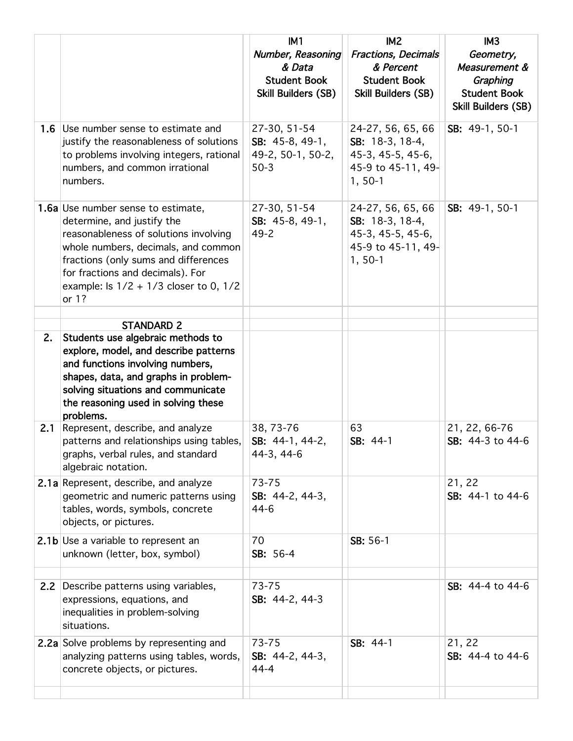|     |                                                                                                                                                                                                                                                                                     | IM1<br>Number, Reasoning<br>& Data<br><b>Student Book</b><br><b>Skill Builders (SB)</b> | IM <sub>2</sub><br>Fractions, Decimals<br>& Percent<br><b>Student Book</b><br><b>Skill Builders (SB)</b> | IM <sub>3</sub><br>Geometry,<br>Measurement &<br>Graphing<br><b>Student Book</b><br><b>Skill Builders (SB)</b> |
|-----|-------------------------------------------------------------------------------------------------------------------------------------------------------------------------------------------------------------------------------------------------------------------------------------|-----------------------------------------------------------------------------------------|----------------------------------------------------------------------------------------------------------|----------------------------------------------------------------------------------------------------------------|
| 1.6 | Use number sense to estimate and<br>justify the reasonableness of solutions<br>to problems involving integers, rational<br>numbers, and common irrational<br>numbers.                                                                                                               | 27-30, 51-54<br>SB: 45-8, 49-1,<br>49-2, 50-1, 50-2,<br>$50-3$                          | 24-27, 56, 65, 66<br>SB: 18-3, 18-4,<br>45-3, 45-5, 45-6,<br>45-9 to 45-11, 49-<br>$1, 50-1$             | SB: 49-1, 50-1                                                                                                 |
|     | 1.6a Use number sense to estimate,<br>determine, and justify the<br>reasonableness of solutions involving<br>whole numbers, decimals, and common<br>fractions (only sums and differences<br>for fractions and decimals). For<br>example: Is $1/2 + 1/3$ closer to 0, $1/2$<br>or 1? | 27-30, 51-54<br>SB: 45-8, 49-1,<br>$49 - 2$                                             | 24-27, 56, 65, 66<br>SB: 18-3, 18-4,<br>45-3, 45-5, 45-6,<br>45-9 to 45-11, 49-<br>$1, 50-1$             | SB: 49-1, 50-1                                                                                                 |
|     | <b>STANDARD 2</b>                                                                                                                                                                                                                                                                   |                                                                                         |                                                                                                          |                                                                                                                |
| 2.  | Students use algebraic methods to<br>explore, model, and describe patterns<br>and functions involving numbers,<br>shapes, data, and graphs in problem-<br>solving situations and communicate<br>the reasoning used in solving these<br>problems.                                    |                                                                                         |                                                                                                          |                                                                                                                |
| 2.1 | Represent, describe, and analyze<br>patterns and relationships using tables,<br>graphs, verbal rules, and standard<br>algebraic notation.                                                                                                                                           | 38, 73-76<br>SB: 44-1, 44-2,<br>44-3, 44-6                                              | 63<br>SB: 44-1                                                                                           | 21, 22, 66-76<br>SB: 44-3 to 44-6                                                                              |
|     | 2.1a Represent, describe, and analyze<br>geometric and numeric patterns using<br>tables, words, symbols, concrete<br>objects, or pictures.                                                                                                                                          | $73 - 75$<br>SB: 44-2, 44-3,<br>$44-6$                                                  |                                                                                                          | 21, 22<br>SB: 44-1 to 44-6                                                                                     |
|     | 2.1b Use a variable to represent an<br>unknown (letter, box, symbol)                                                                                                                                                                                                                | 70<br>SB: 56-4                                                                          | SB: 56-1                                                                                                 |                                                                                                                |
| 2.2 | Describe patterns using variables,<br>expressions, equations, and<br>inequalities in problem-solving<br>situations.                                                                                                                                                                 | 73-75<br>SB: 44-2, 44-3                                                                 |                                                                                                          | SB: 44-4 to 44-6                                                                                               |
|     | <b>2.2a</b> Solve problems by representing and<br>analyzing patterns using tables, words,<br>concrete objects, or pictures.                                                                                                                                                         | 73-75<br>SB: 44-2, 44-3,<br>$44 - 4$                                                    | SB: 44-1                                                                                                 | 21, 22<br>SB: 44-4 to 44-6                                                                                     |
|     |                                                                                                                                                                                                                                                                                     |                                                                                         |                                                                                                          |                                                                                                                |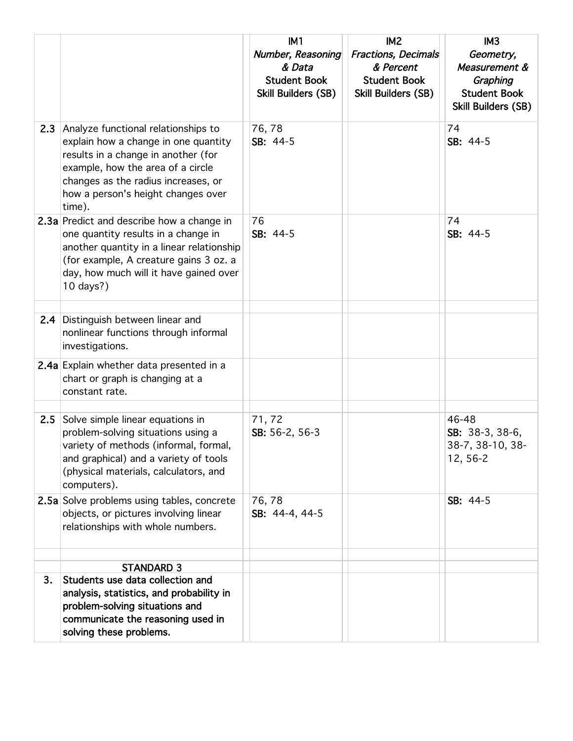|     |                                                                                                                                                                                                                                                | IM1<br>Number, Reasoning                             | IM <sub>2</sub><br><b>Fractions, Decimals</b>                  | IM <sub>3</sub><br>Geometry,                                                   |
|-----|------------------------------------------------------------------------------------------------------------------------------------------------------------------------------------------------------------------------------------------------|------------------------------------------------------|----------------------------------------------------------------|--------------------------------------------------------------------------------|
|     |                                                                                                                                                                                                                                                | & Data<br><b>Student Book</b><br>Skill Builders (SB) | & Percent<br><b>Student Book</b><br><b>Skill Builders (SB)</b> | Measurement &<br>Graphing<br><b>Student Book</b><br><b>Skill Builders (SB)</b> |
| 2.3 | Analyze functional relationships to<br>explain how a change in one quantity<br>results in a change in another (for<br>example, how the area of a circle<br>changes as the radius increases, or<br>how a person's height changes over<br>time). | 76,78<br>SB: 44-5                                    |                                                                | 74<br>SB: 44-5                                                                 |
|     | 2.3a Predict and describe how a change in<br>one quantity results in a change in<br>another quantity in a linear relationship<br>(for example, A creature gains 3 oz. a<br>day, how much will it have gained over<br>10 days?)                 | 76<br>SB: 44-5                                       |                                                                | 74<br>SB: 44-5                                                                 |
| 2.4 | Distinguish between linear and<br>nonlinear functions through informal<br>investigations.                                                                                                                                                      |                                                      |                                                                |                                                                                |
|     | 2.4a Explain whether data presented in a<br>chart or graph is changing at a<br>constant rate.                                                                                                                                                  |                                                      |                                                                |                                                                                |
| 2.5 | Solve simple linear equations in                                                                                                                                                                                                               | 71,72                                                |                                                                | 46-48                                                                          |
|     | problem-solving situations using a<br>variety of methods (informal, formal,<br>and graphical) and a variety of tools<br>(physical materials, calculators, and<br>computers).                                                                   | SB: 56-2, 56-3                                       |                                                                | SB: 38-3, 38-6,<br>38-7, 38-10, 38-<br>12, 56-2                                |
|     | 2.5a Solve problems using tables, concrete<br>objects, or pictures involving linear<br>relationships with whole numbers.                                                                                                                       | 76,78<br>SB: 44-4, 44-5                              |                                                                | SB: 44-5                                                                       |
|     | <b>STANDARD 3</b>                                                                                                                                                                                                                              |                                                      |                                                                |                                                                                |
| 3.  | Students use data collection and<br>analysis, statistics, and probability in<br>problem-solving situations and<br>communicate the reasoning used in<br>solving these problems.                                                                 |                                                      |                                                                |                                                                                |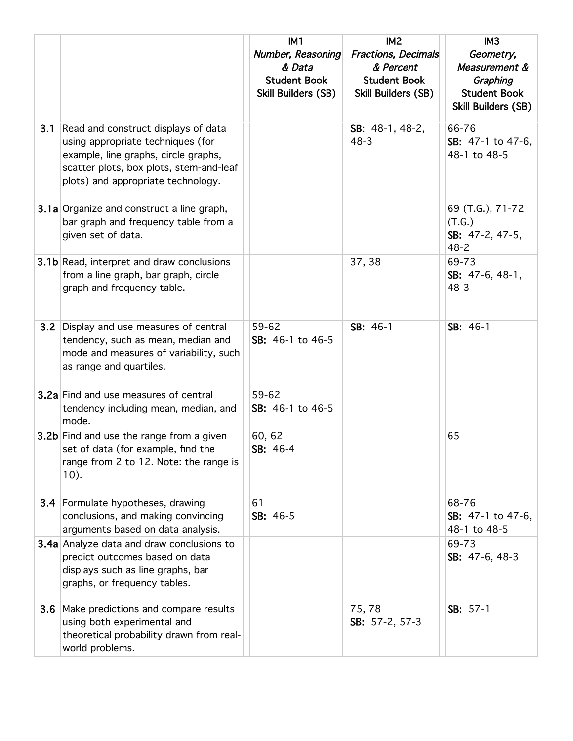|     |                                                                                                                                                                                                   | IM <sub>1</sub><br>Number, Reasoning                        | IM <sub>2</sub><br><b>Fractions, Decimals</b>                  | IM <sub>3</sub><br>Geometry,                                            |
|-----|---------------------------------------------------------------------------------------------------------------------------------------------------------------------------------------------------|-------------------------------------------------------------|----------------------------------------------------------------|-------------------------------------------------------------------------|
|     |                                                                                                                                                                                                   | & Data<br><b>Student Book</b><br><b>Skill Builders (SB)</b> | & Percent<br><b>Student Book</b><br><b>Skill Builders (SB)</b> | Measurement &<br>Graphing<br><b>Student Book</b><br>Skill Builders (SB) |
| 3.1 | Read and construct displays of data<br>using appropriate techniques (for<br>example, line graphs, circle graphs,<br>scatter plots, box plots, stem-and-leaf<br>plots) and appropriate technology. |                                                             | SB: $48-1, 48-2,$<br>$48 - 3$                                  | 66-76<br>SB: 47-1 to 47-6,<br>48-1 to 48-5                              |
|     | <b>3.1a</b> Organize and construct a line graph,<br>bar graph and frequency table from a<br>given set of data.                                                                                    |                                                             |                                                                | 69 (T.G.), 71-72<br>(T.G.)<br>SB: 47-2, 47-5,<br>$48 - 2$               |
|     | <b>3.1b</b> Read, interpret and draw conclusions<br>from a line graph, bar graph, circle<br>graph and frequency table.                                                                            |                                                             | 37, 38                                                         | 69-73<br>SB: 47-6, 48-1,<br>$48 - 3$                                    |
| 3.2 | Display and use measures of central<br>tendency, such as mean, median and<br>mode and measures of variability, such<br>as range and quartiles.                                                    | 59-62<br>SB: 46-1 to 46-5                                   | SB: 46-1                                                       | SB: 46-1                                                                |
|     | <b>3.2a</b> Find and use measures of central<br>tendency including mean, median, and<br>mode.                                                                                                     | 59-62<br>SB: 46-1 to 46-5                                   |                                                                |                                                                         |
|     | 3.2b Find and use the range from a given<br>set of data (for example, find the<br>range from 2 to 12. Note: the range is<br>10).                                                                  | 60, 62<br>SB: 46-4                                          |                                                                | 65                                                                      |
|     | 3.4 Formulate hypotheses, drawing<br>conclusions, and making convincing<br>arguments based on data analysis.                                                                                      | 61<br>SB: 46-5                                              |                                                                | 68-76<br>SB: 47-1 to 47-6,<br>48-1 to 48-5                              |
|     | 3.4a Analyze data and draw conclusions to<br>predict outcomes based on data<br>displays such as line graphs, bar<br>graphs, or frequency tables.                                                  |                                                             |                                                                | 69-73<br>SB: 47-6, 48-3                                                 |
| 3.6 | Make predictions and compare results<br>using both experimental and<br>theoretical probability drawn from real-<br>world problems.                                                                |                                                             | 75,78<br>SB: 57-2, 57-3                                        | SB: 57-1                                                                |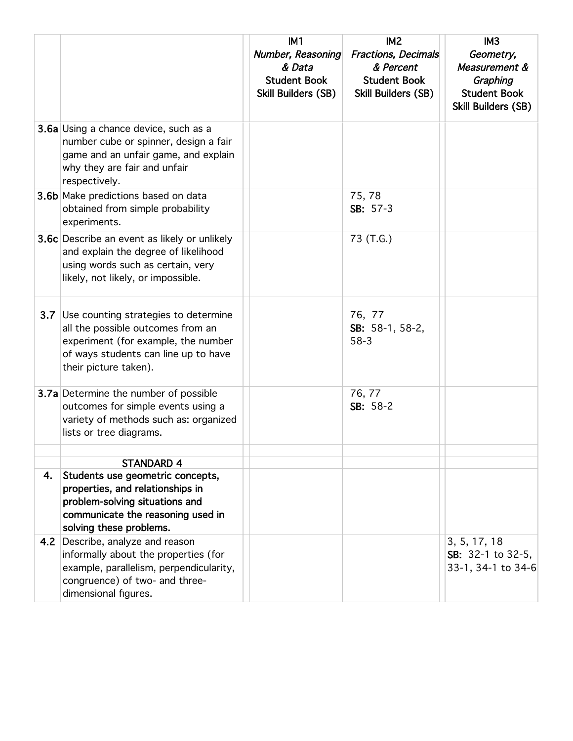|     |                                                                                                                                                                                       | IM <sub>1</sub><br>Number, Reasoning<br>& Data<br><b>Student Book</b><br><b>Skill Builders (SB)</b> | IM <sub>2</sub><br><b>Fractions, Decimals</b><br>& Percent<br><b>Student Book</b><br><b>Skill Builders (SB)</b> | IM3<br>Geometry,<br>Measurement &<br>Graphing<br><b>Student Book</b><br>Skill Builders (SB) |
|-----|---------------------------------------------------------------------------------------------------------------------------------------------------------------------------------------|-----------------------------------------------------------------------------------------------------|-----------------------------------------------------------------------------------------------------------------|---------------------------------------------------------------------------------------------|
|     | <b>3.6a</b> Using a chance device, such as a<br>number cube or spinner, design a fair<br>game and an unfair game, and explain<br>why they are fair and unfair<br>respectively.        |                                                                                                     |                                                                                                                 |                                                                                             |
|     | 3.6b Make predictions based on data<br>obtained from simple probability<br>experiments.                                                                                               |                                                                                                     | 75,78<br>SB: 57-3                                                                                               |                                                                                             |
|     | 3.6c Describe an event as likely or unlikely<br>and explain the degree of likelihood<br>using words such as certain, very<br>likely, not likely, or impossible.                       |                                                                                                     | 73 (T.G.)                                                                                                       |                                                                                             |
|     | 3.7 Use counting strategies to determine<br>all the possible outcomes from an<br>experiment (for example, the number<br>of ways students can line up to have<br>their picture taken). |                                                                                                     | 76, 77<br>SB: 58-1, 58-2,<br>$58-3$                                                                             |                                                                                             |
|     | 3.7a Determine the number of possible<br>outcomes for simple events using a<br>variety of methods such as: organized<br>lists or tree diagrams.                                       |                                                                                                     | 76, 77<br>SB: 58-2                                                                                              |                                                                                             |
|     | <b>STANDARD 4</b>                                                                                                                                                                     |                                                                                                     |                                                                                                                 |                                                                                             |
| 4.  | Students use geometric concepts,<br>properties, and relationships in<br>problem-solving situations and<br>communicate the reasoning used in<br>solving these problems.                |                                                                                                     |                                                                                                                 |                                                                                             |
| 4.2 | Describe, analyze and reason<br>informally about the properties (for<br>example, parallelism, perpendicularity,<br>congruence) of two- and three-<br>dimensional figures.             |                                                                                                     |                                                                                                                 | 3, 5, 17, 18<br>SB: $32-1$ to $32-5$ ,<br>33-1, 34-1 to 34-6                                |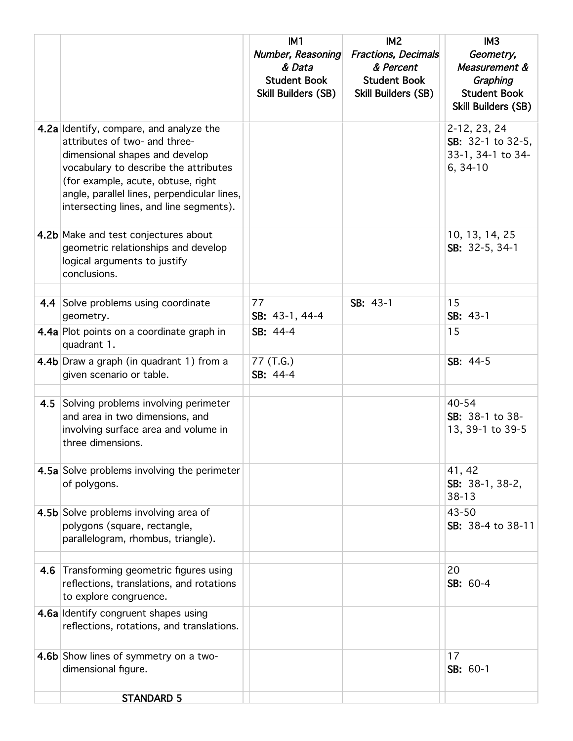|     |                                                                                                                                                                                                                                                                                     | IM <sub>1</sub><br>Number, Reasoning<br>& Data<br><b>Student Book</b><br><b>Skill Builders (SB)</b> | IM <sub>2</sub><br><b>Fractions, Decimals</b><br>& Percent<br><b>Student Book</b><br>Skill Builders (SB) | IM <sub>3</sub><br>Geometry,<br>Measurement &<br>Graphing<br><b>Student Book</b><br>Skill Builders (SB) |
|-----|-------------------------------------------------------------------------------------------------------------------------------------------------------------------------------------------------------------------------------------------------------------------------------------|-----------------------------------------------------------------------------------------------------|----------------------------------------------------------------------------------------------------------|---------------------------------------------------------------------------------------------------------|
|     | 4.2a Identify, compare, and analyze the<br>attributes of two- and three-<br>dimensional shapes and develop<br>vocabulary to describe the attributes<br>(for example, acute, obtuse, right<br>angle, parallel lines, perpendicular lines,<br>intersecting lines, and line segments). |                                                                                                     |                                                                                                          | 2-12, 23, 24<br>SB: 32-1 to 32-5,<br>33-1, 34-1 to 34-<br>$6, 34-10$                                    |
|     | 4.2b Make and test conjectures about<br>geometric relationships and develop<br>logical arguments to justify<br>conclusions.                                                                                                                                                         |                                                                                                     |                                                                                                          | 10, 13, 14, 25<br>SB: 32-5, 34-1                                                                        |
|     | 4.4 Solve problems using coordinate<br>geometry.                                                                                                                                                                                                                                    | 77<br>SB: 43-1, 44-4                                                                                | SB: 43-1                                                                                                 | 15<br>$SB: 43-1$                                                                                        |
|     | 4.4a Plot points on a coordinate graph in<br>quadrant 1.                                                                                                                                                                                                                            | SB: 44-4                                                                                            |                                                                                                          | 15                                                                                                      |
|     | 4.4b Draw a graph (in quadrant 1) from a<br>given scenario or table.                                                                                                                                                                                                                | 77 (T.G.)<br>SB: 44-4                                                                               |                                                                                                          | SB: 44-5                                                                                                |
| 4.5 | Solving problems involving perimeter<br>and area in two dimensions, and<br>involving surface area and volume in<br>three dimensions.                                                                                                                                                |                                                                                                     |                                                                                                          | 40-54<br>SB: 38-1 to 38-<br>13, 39-1 to 39-5                                                            |
|     | 4.5a Solve problems involving the perimeter<br>of polygons.                                                                                                                                                                                                                         |                                                                                                     |                                                                                                          | 41, 42<br>SB: 38-1, 38-2,<br>$38 - 13$                                                                  |
|     | 4.5b Solve problems involving area of<br>polygons (square, rectangle,<br>parallelogram, rhombus, triangle).                                                                                                                                                                         |                                                                                                     |                                                                                                          | 43-50<br>SB: 38-4 to 38-11                                                                              |
|     | 4.6 Transforming geometric figures using<br>reflections, translations, and rotations<br>to explore congruence.                                                                                                                                                                      |                                                                                                     |                                                                                                          | 20<br>SB: 60-4                                                                                          |
|     | 4.6a Identify congruent shapes using<br>reflections, rotations, and translations.                                                                                                                                                                                                   |                                                                                                     |                                                                                                          |                                                                                                         |
|     | 4.6b Show lines of symmetry on a two-<br>dimensional figure.                                                                                                                                                                                                                        |                                                                                                     |                                                                                                          | 17<br>SB: 60-1                                                                                          |
|     | <b>STANDARD 5</b>                                                                                                                                                                                                                                                                   |                                                                                                     |                                                                                                          |                                                                                                         |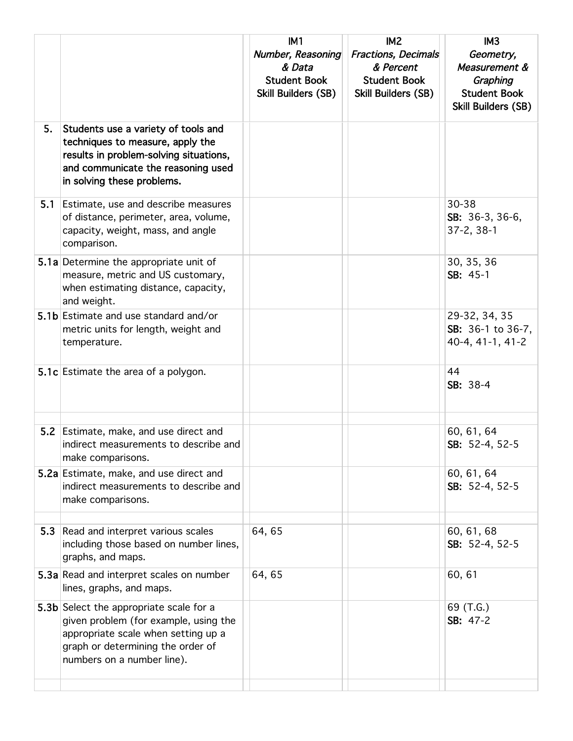|     |                                                                                                                                                                                            | IM <sub>1</sub><br>Number, Reasoning<br>& Data<br><b>Student Book</b><br><b>Skill Builders (SB)</b> | IM <sub>2</sub><br><b>Fractions, Decimals</b><br>& Percent<br><b>Student Book</b><br>Skill Builders (SB) | IM <sub>3</sub><br>Geometry,<br>Measurement &<br>Graphing<br><b>Student Book</b><br>Skill Builders (SB) |
|-----|--------------------------------------------------------------------------------------------------------------------------------------------------------------------------------------------|-----------------------------------------------------------------------------------------------------|----------------------------------------------------------------------------------------------------------|---------------------------------------------------------------------------------------------------------|
| 5.  | Students use a variety of tools and<br>techniques to measure, apply the<br>results in problem-solving situations,<br>and communicate the reasoning used<br>in solving these problems.      |                                                                                                     |                                                                                                          |                                                                                                         |
| 5.1 | Estimate, use and describe measures<br>of distance, perimeter, area, volume,<br>capacity, weight, mass, and angle<br>comparison.                                                           |                                                                                                     |                                                                                                          | 30-38<br>SB: 36-3, 36-6,<br>$37 - 2, 38 - 1$                                                            |
|     | 5.1a Determine the appropriate unit of<br>measure, metric and US customary,<br>when estimating distance, capacity,<br>and weight.                                                          |                                                                                                     |                                                                                                          | 30, 35, 36<br>SB: 45-1                                                                                  |
|     | 5.1b Estimate and use standard and/or<br>metric units for length, weight and<br>temperature.                                                                                               |                                                                                                     |                                                                                                          | 29-32, 34, 35<br>SB: 36-1 to 36-7,<br>40-4, 41-1, 41-2                                                  |
|     | 5.1c Estimate the area of a polygon.                                                                                                                                                       |                                                                                                     |                                                                                                          | 44<br>SB: 38-4                                                                                          |
|     | 5.2 Estimate, make, and use direct and<br>indirect measurements to describe and<br>make comparisons.                                                                                       |                                                                                                     |                                                                                                          | 60, 61, 64<br>SB: 52-4, 52-5                                                                            |
|     | 5.2a Estimate, make, and use direct and<br>indirect measurements to describe and<br>make comparisons.                                                                                      |                                                                                                     |                                                                                                          | 60, 61, 64<br>SB: 52-4, 52-5                                                                            |
| 5.3 | Read and interpret various scales<br>including those based on number lines,<br>graphs, and maps.                                                                                           | 64,65                                                                                               |                                                                                                          | 60, 61, 68<br>SB: 52-4, 52-5                                                                            |
|     | 5.3a Read and interpret scales on number<br>lines, graphs, and maps.                                                                                                                       | 64, 65                                                                                              |                                                                                                          | 60, 61                                                                                                  |
|     | 5.3b Select the appropriate scale for a<br>given problem (for example, using the<br>appropriate scale when setting up a<br>graph or determining the order of<br>numbers on a number line). |                                                                                                     |                                                                                                          | 69 (T.G.)<br>SB: 47-2                                                                                   |
|     |                                                                                                                                                                                            |                                                                                                     |                                                                                                          |                                                                                                         |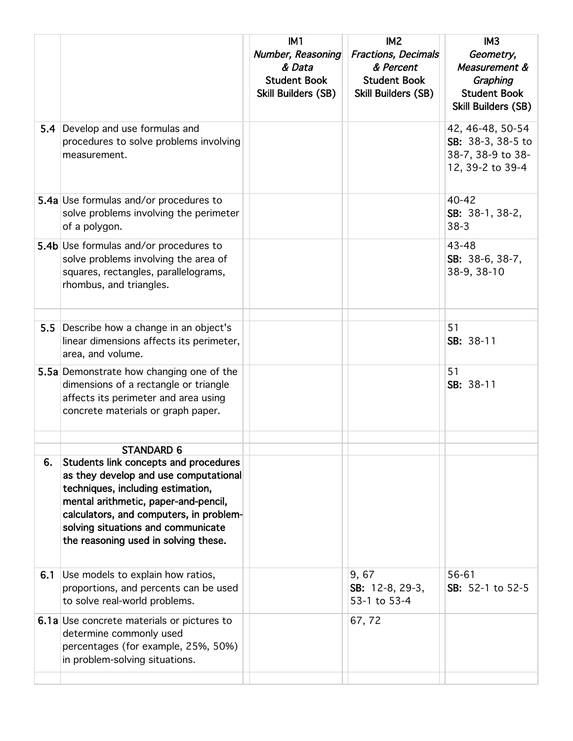|     |                                                                                                                                                                                                                                                                                      | IM <sub>1</sub>                                                                  | IM <sub>2</sub>                                                                              | IM <sub>3</sub>                                                                      |
|-----|--------------------------------------------------------------------------------------------------------------------------------------------------------------------------------------------------------------------------------------------------------------------------------------|----------------------------------------------------------------------------------|----------------------------------------------------------------------------------------------|--------------------------------------------------------------------------------------|
|     |                                                                                                                                                                                                                                                                                      | Number, Reasoning<br>& Data<br><b>Student Book</b><br><b>Skill Builders (SB)</b> | <b>Fractions, Decimals</b><br>& Percent<br><b>Student Book</b><br><b>Skill Builders (SB)</b> | Geometry,<br>Measurement &<br>Graphing<br><b>Student Book</b><br>Skill Builders (SB) |
| 5.4 | Develop and use formulas and<br>procedures to solve problems involving<br>measurement.                                                                                                                                                                                               |                                                                                  |                                                                                              | 42, 46-48, 50-54<br>SB: 38-3, 38-5 to<br>38-7, 38-9 to 38-<br>12, 39-2 to 39-4       |
|     | 5.4a Use formulas and/or procedures to<br>solve problems involving the perimeter<br>of a polygon.                                                                                                                                                                                    |                                                                                  |                                                                                              | 40-42<br>SB: 38-1, 38-2,<br>$38-3$                                                   |
|     | 5.4b Use formulas and/or procedures to<br>solve problems involving the area of<br>squares, rectangles, parallelograms,<br>rhombus, and triangles.                                                                                                                                    |                                                                                  |                                                                                              | 43-48<br>SB: 38-6, 38-7,<br>38-9, 38-10                                              |
| 5.5 | Describe how a change in an object's<br>linear dimensions affects its perimeter,<br>area, and volume.                                                                                                                                                                                |                                                                                  |                                                                                              | 51<br>SB: 38-11                                                                      |
|     | 5.5a Demonstrate how changing one of the<br>dimensions of a rectangle or triangle<br>affects its perimeter and area using<br>concrete materials or graph paper.                                                                                                                      |                                                                                  |                                                                                              | 51<br>SB: 38-11                                                                      |
|     | STANDARD 6                                                                                                                                                                                                                                                                           |                                                                                  |                                                                                              |                                                                                      |
| 6.  | Students link concepts and procedures<br>as they develop and use computational<br>techniques, including estimation,<br>mental arithmetic, paper-and-pencil,<br>calculators, and computers, in problem-<br>solving situations and communicate<br>the reasoning used in solving these. |                                                                                  |                                                                                              |                                                                                      |
| 6.1 | Use models to explain how ratios,<br>proportions, and percents can be used<br>to solve real-world problems.                                                                                                                                                                          |                                                                                  | 9,67<br>SB: 12-8, 29-3,<br>53-1 to 53-4                                                      | 56-61<br>SB: 52-1 to 52-5                                                            |
|     | <b>6.1a</b> Use concrete materials or pictures to<br>determine commonly used<br>percentages (for example, 25%, 50%)<br>in problem-solving situations.                                                                                                                                |                                                                                  | 67,72                                                                                        |                                                                                      |
|     |                                                                                                                                                                                                                                                                                      |                                                                                  |                                                                                              |                                                                                      |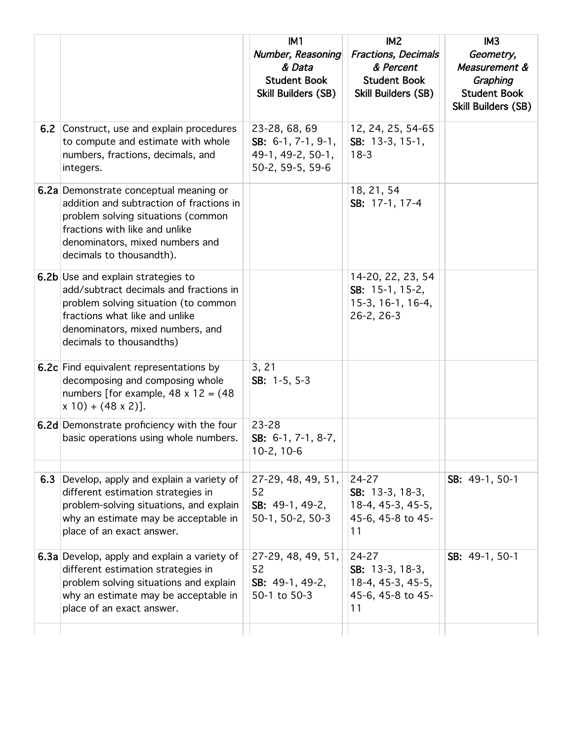|     |                                                                                                                                                                                                                           | IM <sub>1</sub><br>Number, Reasoning<br>& Data<br><b>Student Book</b><br><b>Skill Builders (SB)</b> | IM <sub>2</sub><br>Fractions, Decimals<br>& Percent<br><b>Student Book</b><br><b>Skill Builders (SB)</b> | IM <sub>3</sub><br>Geometry,<br>Measurement &<br>Graphing<br><b>Student Book</b><br>Skill Builders (SB) |
|-----|---------------------------------------------------------------------------------------------------------------------------------------------------------------------------------------------------------------------------|-----------------------------------------------------------------------------------------------------|----------------------------------------------------------------------------------------------------------|---------------------------------------------------------------------------------------------------------|
|     | 6.2 Construct, use and explain procedures<br>to compute and estimate with whole<br>numbers, fractions, decimals, and<br>integers.                                                                                         | 23-28, 68, 69<br>SB: $6-1$ , $7-1$ , $9-1$ ,<br>49-1, 49-2, 50-1,<br>50-2, 59-5, 59-6               | 12, 24, 25, 54-65<br>SB: 13-3, 15-1,<br>$18-3$                                                           |                                                                                                         |
|     | 6.2a Demonstrate conceptual meaning or<br>addition and subtraction of fractions in<br>problem solving situations (common<br>fractions with like and unlike<br>denominators, mixed numbers and<br>decimals to thousandth). |                                                                                                     | 18, 21, 54<br>SB: 17-1, 17-4                                                                             |                                                                                                         |
|     | 6.2b Use and explain strategies to<br>add/subtract decimals and fractions in<br>problem solving situation (to common<br>fractions what like and unlike<br>denominators, mixed numbers, and<br>decimals to thousandths)    |                                                                                                     | 14-20, 22, 23, 54<br>SB: $15-1$ , $15-2$ ,<br>15-3, 16-1, 16-4,<br>$26-2, 26-3$                          |                                                                                                         |
|     | <b>6.2c</b> Find equivalent representations by<br>decomposing and composing whole<br>numbers [for example, $48 \times 12 = (48$<br>$x 10) + (48 x 2)$ ].                                                                  | 3, 21<br>SB: $1-5, 5-3$                                                                             |                                                                                                          |                                                                                                         |
|     | 6.2d Demonstrate proficiency with the four<br>basic operations using whole numbers.                                                                                                                                       | 23-28<br>SB: $6-1$ , $7-1$ , $8-7$ ,<br>$10-2, 10-6$                                                |                                                                                                          |                                                                                                         |
| 6.3 | Develop, apply and explain a variety of<br>different estimation strategies in<br>problem-solving situations, and explain<br>why an estimate may be acceptable in<br>place of an exact answer.                             | 27-29, 48, 49, 51,<br>52<br>SB: $49-1, 49-2,$<br>50-1, 50-2, 50-3                                   | 24-27<br>SB: 13-3, 18-3,<br>18-4, 45-3, 45-5,<br>45-6, 45-8 to 45-<br>11                                 | SB: 49-1, 50-1                                                                                          |
|     | 6.3a Develop, apply and explain a variety of<br>different estimation strategies in<br>problem solving situations and explain<br>why an estimate may be acceptable in<br>place of an exact answer.                         | 27-29, 48, 49, 51,<br>52<br>SB: 49-1, 49-2,<br>50-1 to 50-3                                         | 24-27<br>SB: 13-3, 18-3,<br>18-4, 45-3, 45-5,<br>45-6, 45-8 to 45-<br>11                                 | SB: 49-1, 50-1                                                                                          |